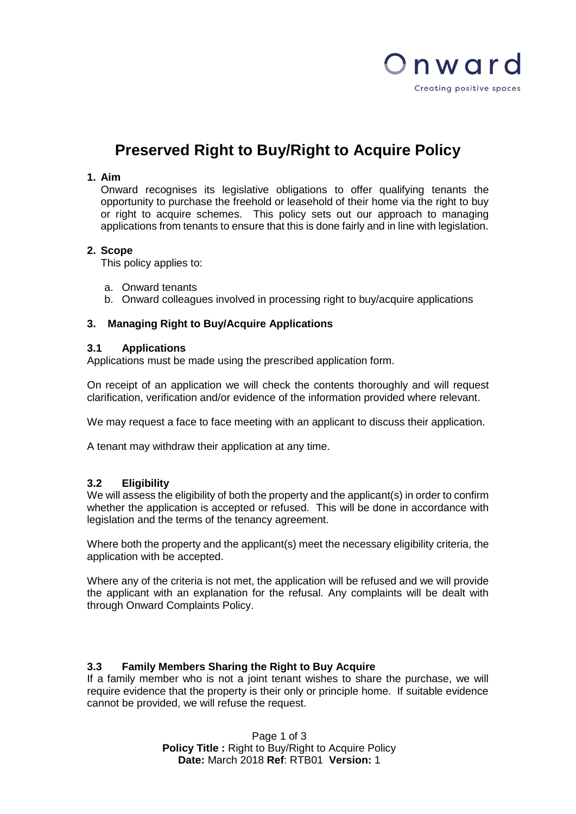

# **Preserved Right to Buy/Right to Acquire Policy**

## **1. Aim**

Onward recognises its legislative obligations to offer qualifying tenants the opportunity to purchase the freehold or leasehold of their home via the right to buy or right to acquire schemes. This policy sets out our approach to managing applications from tenants to ensure that this is done fairly and in line with legislation.

## **2. Scope**

This policy applies to:

- a. Onward tenants
- b. Onward colleagues involved in processing right to buy/acquire applications

## **3. Managing Right to Buy/Acquire Applications**

## **3.1 Applications**

Applications must be made using the prescribed application form.

On receipt of an application we will check the contents thoroughly and will request clarification, verification and/or evidence of the information provided where relevant.

We may request a face to face meeting with an applicant to discuss their application.

A tenant may withdraw their application at any time.

## **3.2 Eligibility**

We will assess the eligibility of both the property and the applicant(s) in order to confirm whether the application is accepted or refused. This will be done in accordance with legislation and the terms of the tenancy agreement.

Where both the property and the applicant(s) meet the necessary eligibility criteria, the application with be accepted.

Where any of the criteria is not met, the application will be refused and we will provide the applicant with an explanation for the refusal. Any complaints will be dealt with through Onward Complaints Policy.

## **3.3 Family Members Sharing the Right to Buy Acquire**

If a family member who is not a joint tenant wishes to share the purchase, we will require evidence that the property is their only or principle home. If suitable evidence cannot be provided, we will refuse the request.

> Page 1 of 3 **Policy Title :** Right to Buy/Right to Acquire Policy **Date:** March 2018 **Ref**: RTB01 **Version:** 1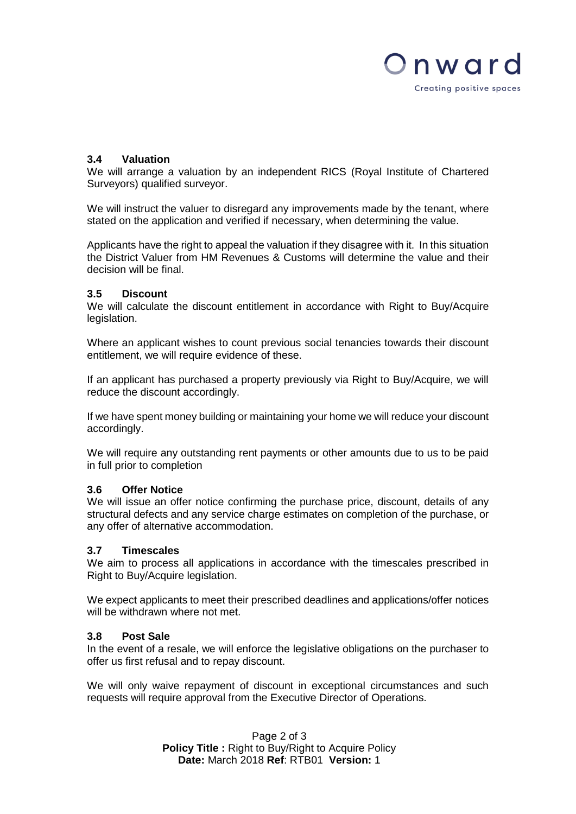

## **3.4 Valuation**

We will arrange a valuation by an independent RICS (Royal Institute of Chartered Surveyors) qualified surveyor.

We will instruct the valuer to disregard any improvements made by the tenant, where stated on the application and verified if necessary, when determining the value.

Applicants have the right to appeal the valuation if they disagree with it. In this situation the District Valuer from HM Revenues & Customs will determine the value and their decision will be final.

#### **3.5 Discount**

We will calculate the discount entitlement in accordance with Right to Buy/Acquire legislation.

Where an applicant wishes to count previous social tenancies towards their discount entitlement, we will require evidence of these.

If an applicant has purchased a property previously via Right to Buy/Acquire, we will reduce the discount accordingly.

If we have spent money building or maintaining your home we will reduce your discount accordingly.

We will require any outstanding rent payments or other amounts due to us to be paid in full prior to completion

#### **3.6 Offer Notice**

We will issue an offer notice confirming the purchase price, discount, details of any structural defects and any service charge estimates on completion of the purchase, or any offer of alternative accommodation.

#### **3.7 Timescales**

We aim to process all applications in accordance with the timescales prescribed in Right to Buy/Acquire legislation.

We expect applicants to meet their prescribed deadlines and applications/offer notices will be withdrawn where not met.

#### **3.8 Post Sale**

In the event of a resale, we will enforce the legislative obligations on the purchaser to offer us first refusal and to repay discount.

We will only waive repayment of discount in exceptional circumstances and such requests will require approval from the Executive Director of Operations.

> Page 2 of 3 **Policy Title :** Right to Buy/Right to Acquire Policy **Date:** March 2018 **Ref**: RTB01 **Version:** 1